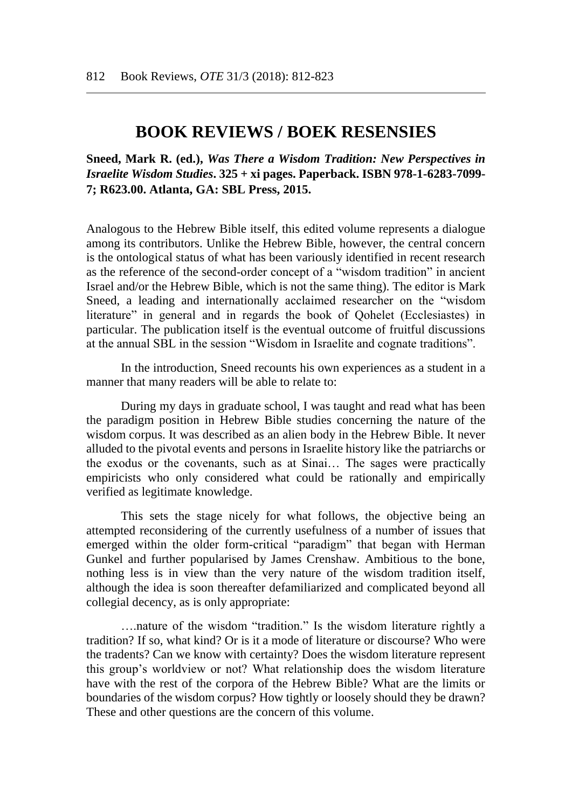# **BOOK REVIEWS / BOEK RESENSIES**

**Sneed, Mark R. (ed.),** *Was There a Wisdom Tradition: New Perspectives in Israelite Wisdom Studies***. 325 + xi pages. Paperback. ISBN 978-1-6283-7099- 7; R623.00. Atlanta, GA: SBL Press, 2015.**

Analogous to the Hebrew Bible itself, this edited volume represents a dialogue among its contributors. Unlike the Hebrew Bible, however, the central concern is the ontological status of what has been variously identified in recent research as the reference of the second-order concept of a "wisdom tradition" in ancient Israel and/or the Hebrew Bible, which is not the same thing). The editor is Mark Sneed, a leading and internationally acclaimed researcher on the "wisdom literature" in general and in regards the book of Qohelet (Ecclesiastes) in particular. The publication itself is the eventual outcome of fruitful discussions at the annual SBL in the session "Wisdom in Israelite and cognate traditions".

In the introduction, Sneed recounts his own experiences as a student in a manner that many readers will be able to relate to:

During my days in graduate school, I was taught and read what has been the paradigm position in Hebrew Bible studies concerning the nature of the wisdom corpus. It was described as an alien body in the Hebrew Bible. It never alluded to the pivotal events and persons in Israelite history like the patriarchs or the exodus or the covenants, such as at Sinai… The sages were practically empiricists who only considered what could be rationally and empirically verified as legitimate knowledge.

This sets the stage nicely for what follows, the objective being an attempted reconsidering of the currently usefulness of a number of issues that emerged within the older form-critical "paradigm" that began with Herman Gunkel and further popularised by James Crenshaw. Ambitious to the bone, nothing less is in view than the very nature of the wisdom tradition itself, although the idea is soon thereafter defamiliarized and complicated beyond all collegial decency, as is only appropriate:

….nature of the wisdom "tradition." Is the wisdom literature rightly a tradition? If so, what kind? Or is it a mode of literature or discourse? Who were the tradents? Can we know with certainty? Does the wisdom literature represent this group's worldview or not? What relationship does the wisdom literature have with the rest of the corpora of the Hebrew Bible? What are the limits or boundaries of the wisdom corpus? How tightly or loosely should they be drawn? These and other questions are the concern of this volume.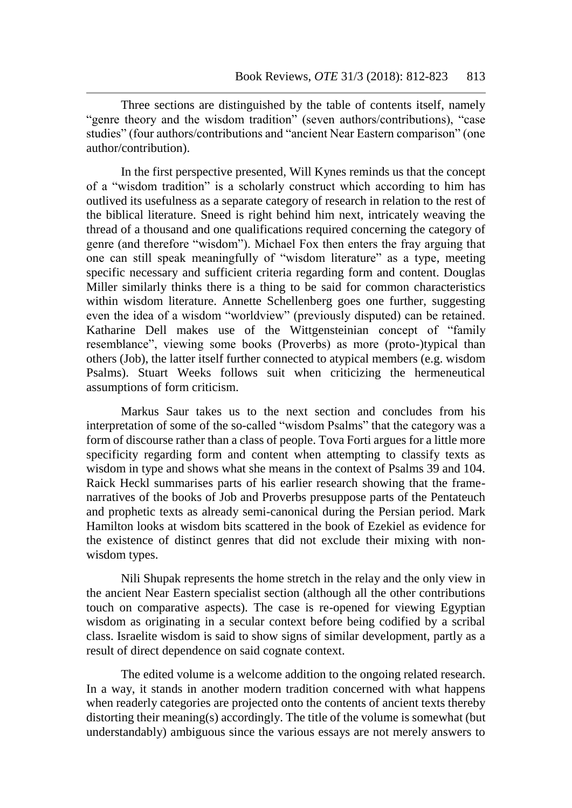Three sections are distinguished by the table of contents itself, namely "genre theory and the wisdom tradition" (seven authors/contributions), "case studies" (four authors/contributions and "ancient Near Eastern comparison" (one author/contribution).

In the first perspective presented, Will Kynes reminds us that the concept of a "wisdom tradition" is a scholarly construct which according to him has outlived its usefulness as a separate category of research in relation to the rest of the biblical literature. Sneed is right behind him next, intricately weaving the thread of a thousand and one qualifications required concerning the category of genre (and therefore "wisdom"). Michael Fox then enters the fray arguing that one can still speak meaningfully of "wisdom literature" as a type, meeting specific necessary and sufficient criteria regarding form and content. Douglas Miller similarly thinks there is a thing to be said for common characteristics within wisdom literature. Annette Schellenberg goes one further, suggesting even the idea of a wisdom "worldview" (previously disputed) can be retained. Katharine Dell makes use of the Wittgensteinian concept of "family resemblance", viewing some books (Proverbs) as more (proto-)typical than others (Job), the latter itself further connected to atypical members (e.g. wisdom Psalms). Stuart Weeks follows suit when criticizing the hermeneutical assumptions of form criticism.

Markus Saur takes us to the next section and concludes from his interpretation of some of the so-called "wisdom Psalms" that the category was a form of discourse rather than a class of people. Tova Forti argues for a little more specificity regarding form and content when attempting to classify texts as wisdom in type and shows what she means in the context of Psalms 39 and 104. Raick Heckl summarises parts of his earlier research showing that the framenarratives of the books of Job and Proverbs presuppose parts of the Pentateuch and prophetic texts as already semi-canonical during the Persian period. Mark Hamilton looks at wisdom bits scattered in the book of Ezekiel as evidence for the existence of distinct genres that did not exclude their mixing with nonwisdom types.

Nili Shupak represents the home stretch in the relay and the only view in the ancient Near Eastern specialist section (although all the other contributions touch on comparative aspects). The case is re-opened for viewing Egyptian wisdom as originating in a secular context before being codified by a scribal class. Israelite wisdom is said to show signs of similar development, partly as a result of direct dependence on said cognate context.

The edited volume is a welcome addition to the ongoing related research. In a way, it stands in another modern tradition concerned with what happens when readerly categories are projected onto the contents of ancient texts thereby distorting their meaning(s) accordingly. The title of the volume is somewhat (but understandably) ambiguous since the various essays are not merely answers to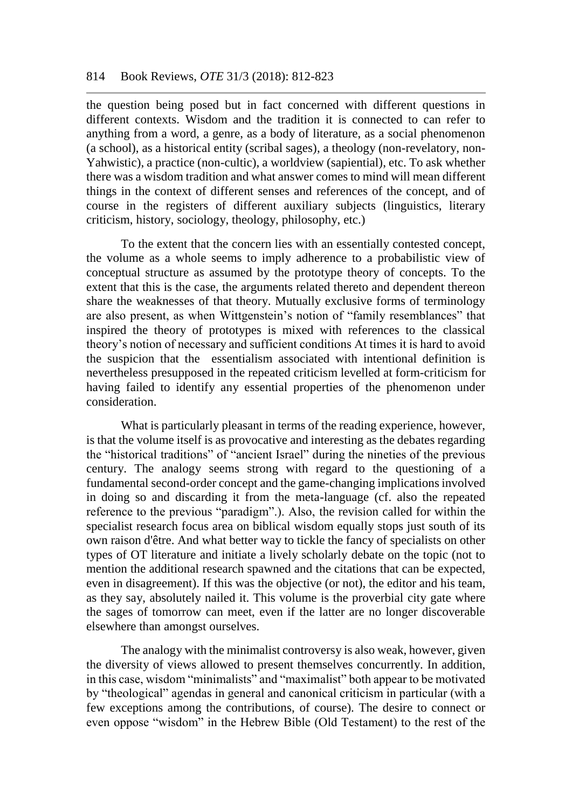the question being posed but in fact concerned with different questions in different contexts. Wisdom and the tradition it is connected to can refer to anything from a word, a genre, as a body of literature, as a social phenomenon (a school), as a historical entity (scribal sages), a theology (non-revelatory, non-Yahwistic), a practice (non-cultic), a worldview (sapiential), etc. To ask whether there was a wisdom tradition and what answer comes to mind will mean different things in the context of different senses and references of the concept, and of course in the registers of different auxiliary subjects (linguistics, literary criticism, history, sociology, theology, philosophy, etc.)

To the extent that the concern lies with an essentially contested concept, the volume as a whole seems to imply adherence to a probabilistic view of conceptual structure as assumed by the prototype theory of concepts. To the extent that this is the case, the arguments related thereto and dependent thereon share the weaknesses of that theory. Mutually exclusive forms of terminology are also present, as when Wittgenstein's notion of "family resemblances" that inspired the theory of prototypes is mixed with references to the classical theory's notion of necessary and sufficient conditions At times it is hard to avoid the suspicion that the essentialism associated with intentional definition is nevertheless presupposed in the repeated criticism levelled at form-criticism for having failed to identify any essential properties of the phenomenon under consideration.

What is particularly pleasant in terms of the reading experience, however, is that the volume itself is as provocative and interesting as the debates regarding the "historical traditions" of "ancient Israel" during the nineties of the previous century. The analogy seems strong with regard to the questioning of a fundamental second-order concept and the game-changing implications involved in doing so and discarding it from the meta-language (cf. also the repeated reference to the previous "paradigm".). Also, the revision called for within the specialist research focus area on biblical wisdom equally stops just south of its own raison d'être. And what better way to tickle the fancy of specialists on other types of OT literature and initiate a lively scholarly debate on the topic (not to mention the additional research spawned and the citations that can be expected, even in disagreement). If this was the objective (or not), the editor and his team, as they say, absolutely nailed it. This volume is the proverbial city gate where the sages of tomorrow can meet, even if the latter are no longer discoverable elsewhere than amongst ourselves.

The analogy with the minimalist controversy is also weak, however, given the diversity of views allowed to present themselves concurrently. In addition, in this case, wisdom "minimalists" and "maximalist" both appear to be motivated by "theological" agendas in general and canonical criticism in particular (with a few exceptions among the contributions, of course). The desire to connect or even oppose "wisdom" in the Hebrew Bible (Old Testament) to the rest of the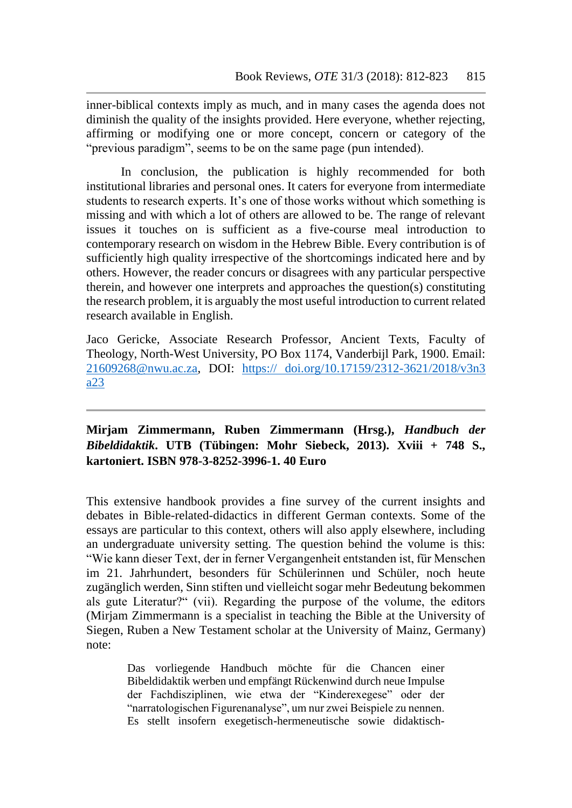inner-biblical contexts imply as much, and in many cases the agenda does not diminish the quality of the insights provided. Here everyone, whether rejecting, affirming or modifying one or more concept, concern or category of the "previous paradigm", seems to be on the same page (pun intended).

In conclusion, the publication is highly recommended for both institutional libraries and personal ones. It caters for everyone from intermediate students to research experts. It's one of those works without which something is missing and with which a lot of others are allowed to be. The range of relevant issues it touches on is sufficient as a five-course meal introduction to contemporary research on wisdom in the Hebrew Bible. Every contribution is of sufficiently high quality irrespective of the shortcomings indicated here and by others. However, the reader concurs or disagrees with any particular perspective therein, and however one interprets and approaches the question(s) constituting the research problem, it is arguably the most useful introduction to current related research available in English.

Jaco Gericke, Associate Research Professor, Ancient Texts, Faculty of Theology, North-West University, PO Box 1174, Vanderbijl Park, 1900. Email: [21609268@nwu.ac.za,](mailto:21609268@nwu.ac.za) DOI: https:// doi.org/10.17159/2312-3621/2018/v3n3 a23

## **Mirjam Zimmermann, Ruben Zimmermann (Hrsg.),** *Handbuch der Bibeldidaktik***. UTB (Tübingen: Mohr Siebeck, 2013). Xviii + 748 S., kartoniert. ISBN 978-3-8252-3996-1. 40 Euro**

This extensive handbook provides a fine survey of the current insights and debates in Bible-related-didactics in different German contexts. Some of the essays are particular to this context, others will also apply elsewhere, including an undergraduate university setting. The question behind the volume is this: "Wie kann dieser Text, der in ferner Vergangenheit entstanden ist, für Menschen im 21. Jahrhundert, besonders für Schülerinnen und Schüler, noch heute zugänglich werden, Sinn stiften und vielleicht sogar mehr Bedeutung bekommen als gute Literatur?" (vii). Regarding the purpose of the volume, the editors (Mirjam Zimmermann is a specialist in teaching the Bible at the University of Siegen, Ruben a New Testament scholar at the University of Mainz, Germany) note:

> Das vorliegende Handbuch möchte für die Chancen einer Bibeldidaktik werben und empfängt Rückenwind durch neue Impulse der Fachdisziplinen, wie etwa der "Kinderexegese" oder der "narratologischen Figurenanalyse", um nur zwei Beispiele zu nennen. Es stellt insofern exegetisch-hermeneutische sowie didaktisch-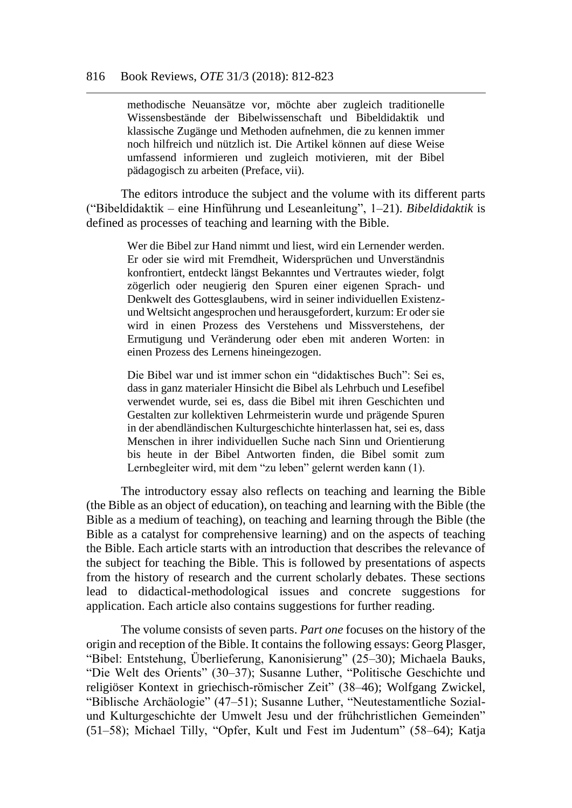#### 816 Book Reviews, *OTE* 31/3 (2018): 812-823

methodische Neuansätze vor, möchte aber zugleich traditionelle Wissensbestände der Bibelwissenschaft und Bibeldidaktik und klassische Zugänge und Methoden aufnehmen, die zu kennen immer noch hilfreich und nützlich ist. Die Artikel können auf diese Weise umfassend informieren und zugleich motivieren, mit der Bibel pädagogisch zu arbeiten (Preface, vii).

The editors introduce the subject and the volume with its different parts ("Bibeldidaktik – eine Hinführung und Leseanleitung", 1–21). *Bibeldidaktik* is defined as processes of teaching and learning with the Bible.

> Wer die Bibel zur Hand nimmt und liest, wird ein Lernender werden. Er oder sie wird mit Fremdheit, Widersprüchen und Unverständnis konfrontiert, entdeckt längst Bekanntes und Vertrautes wieder, folgt zögerlich oder neugierig den Spuren einer eigenen Sprach- und Denkwelt des Gottesglaubens, wird in seiner individuellen Existenzund Weltsicht angesprochen und herausgefordert, kurzum: Er oder sie wird in einen Prozess des Verstehens und Missverstehens, der Ermutigung und Veränderung oder eben mit anderen Worten: in einen Prozess des Lernens hineingezogen.

> Die Bibel war und ist immer schon ein "didaktisches Buch": Sei es, dass in ganz materialer Hinsicht die Bibel als Lehrbuch und Lesefibel verwendet wurde, sei es, dass die Bibel mit ihren Geschichten und Gestalten zur kollektiven Lehrmeisterin wurde und prägende Spuren in der abendländischen Kulturgeschichte hinterlassen hat, sei es, dass Menschen in ihrer individuellen Suche nach Sinn und Orientierung bis heute in der Bibel Antworten finden, die Bibel somit zum Lernbegleiter wird, mit dem "zu leben" gelernt werden kann (1).

The introductory essay also reflects on teaching and learning the Bible (the Bible as an object of education), on teaching and learning with the Bible (the Bible as a medium of teaching), on teaching and learning through the Bible (the Bible as a catalyst for comprehensive learning) and on the aspects of teaching the Bible. Each article starts with an introduction that describes the relevance of the subject for teaching the Bible. This is followed by presentations of aspects from the history of research and the current scholarly debates. These sections lead to didactical-methodological issues and concrete suggestions for application. Each article also contains suggestions for further reading.

The volume consists of seven parts. *Part one* focuses on the history of the origin and reception of the Bible. It contains the following essays: Georg Plasger, "Bibel: Entstehung, Überlieferung, Kanonisierung" (25–30); Michaela Bauks, "Die Welt des Orients" (30–37); Susanne Luther, "Politische Geschichte und religiöser Kontext in griechisch-römischer Zeit" (38–46); Wolfgang Zwickel, "Biblische Archäologie" (47–51); Susanne Luther, "Neutestamentliche Sozialund Kulturgeschichte der Umwelt Jesu und der frühchristlichen Gemeinden" (51–58); Michael Tilly, "Opfer, Kult und Fest im Judentum" (58–64); Katja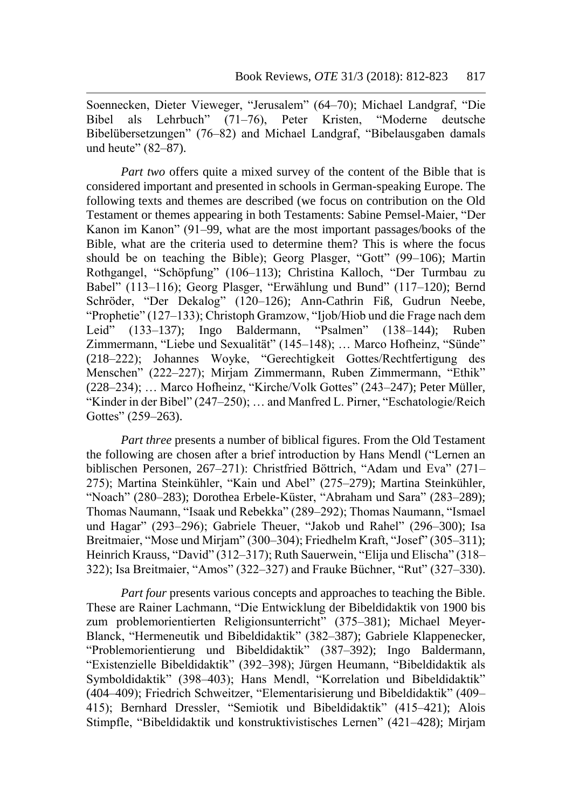Soennecken, Dieter Vieweger, "Jerusalem" (64–70); Michael Landgraf, "Die Bibel als Lehrbuch" (71–76), Peter Kristen, "Moderne deutsche Bibelübersetzungen" (76–82) and Michael Landgraf, "Bibelausgaben damals und heute" (82–87).

*Part two* offers quite a mixed survey of the content of the Bible that is considered important and presented in schools in German-speaking Europe. The following texts and themes are described (we focus on contribution on the Old Testament or themes appearing in both Testaments: Sabine Pemsel-Maier, "Der Kanon im Kanon" (91–99, what are the most important passages/books of the Bible, what are the criteria used to determine them? This is where the focus should be on teaching the Bible); Georg Plasger, "Gott" (99–106); Martin Rothgangel, "Schöpfung" (106–113); Christina Kalloch, "Der Turmbau zu Babel" (113–116); Georg Plasger, "Erwählung und Bund" (117–120); Bernd Schröder, "Der Dekalog" (120–126); Ann-Cathrin Fiß, Gudrun Neebe, "Prophetie" (127–133); Christoph Gramzow, "Ijob/Hiob und die Frage nach dem Leid" (133–137); Ingo Baldermann, "Psalmen" (138–144); Ruben Zimmermann, "Liebe und Sexualität" (145–148); … Marco Hofheinz, "Sünde" (218–222); Johannes Woyke, "Gerechtigkeit Gottes/Rechtfertigung des Menschen" (222–227); Mirjam Zimmermann, Ruben Zimmermann, "Ethik" (228–234); … Marco Hofheinz, "Kirche/Volk Gottes" (243–247); Peter Müller, "Kinder in der Bibel" (247–250); … and Manfred L. Pirner, "Eschatologie/Reich Gottes" (259–263).

*Part three* presents a number of biblical figures. From the Old Testament the following are chosen after a brief introduction by Hans Mendl ("Lernen an biblischen Personen, 267–271): Christfried Böttrich, "Adam und Eva" (271– 275); Martina Steinkühler, "Kain und Abel" (275–279); Martina Steinkühler, "Noach" (280–283); Dorothea Erbele-Küster, "Abraham und Sara" (283–289); Thomas Naumann, "Isaak und Rebekka" (289–292); Thomas Naumann, "Ismael und Hagar" (293–296); Gabriele Theuer, "Jakob und Rahel" (296–300); Isa Breitmaier, "Mose und Mirjam" (300–304); Friedhelm Kraft, "Josef" (305–311); Heinrich Krauss, "David" (312–317); Ruth Sauerwein, "Elija und Elischa" (318– 322); Isa Breitmaier, "Amos" (322–327) and Frauke Büchner, "Rut" (327–330).

*Part four* presents various concepts and approaches to teaching the Bible. These are Rainer Lachmann, "Die Entwicklung der Bibeldidaktik von 1900 bis zum problemorientierten Religionsunterricht" (375–381); Michael Meyer-Blanck, "Hermeneutik und Bibeldidaktik" (382–387); Gabriele Klappenecker, "Problemorientierung und Bibeldidaktik" (387–392); Ingo Baldermann, "Existenzielle Bibeldidaktik" (392–398); Jürgen Heumann, "Bibeldidaktik als Symboldidaktik" (398–403); Hans Mendl, "Korrelation und Bibeldidaktik" (404–409); Friedrich Schweitzer, "Elementarisierung und Bibeldidaktik" (409– 415); Bernhard Dressler, "Semiotik und Bibeldidaktik" (415–421); Alois Stimpfle, "Bibeldidaktik und konstruktivistisches Lernen" (421–428); Mirjam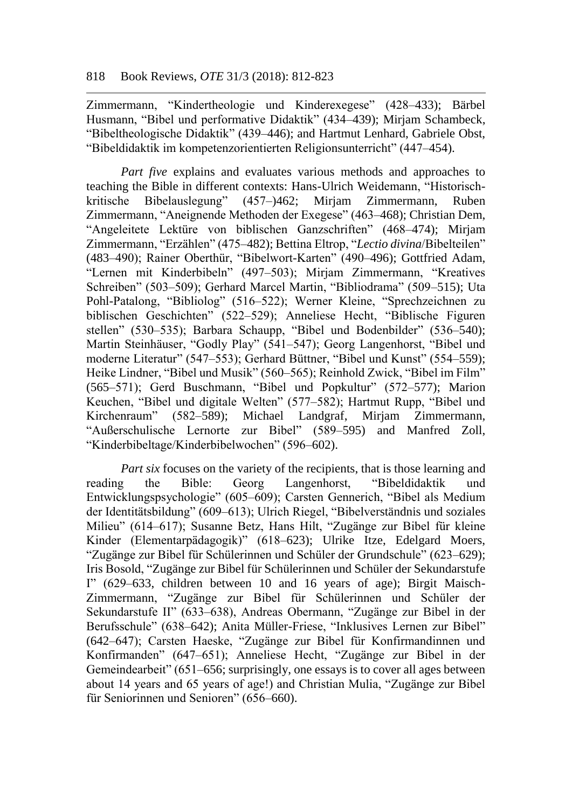Zimmermann, "Kindertheologie und Kinderexegese" (428–433); Bärbel Husmann, "Bibel und performative Didaktik" (434–439); Mirjam Schambeck, "Bibeltheologische Didaktik" (439–446); and Hartmut Lenhard, Gabriele Obst, "Bibeldidaktik im kompetenzorientierten Religionsunterricht" (447–454).

*Part five* explains and evaluates various methods and approaches to teaching the Bible in different contexts: Hans-Ulrich Weidemann, "Historischkritische Bibelauslegung" (457–)462; Mirjam Zimmermann, Ruben Zimmermann, "Aneignende Methoden der Exegese" (463–468); Christian Dem, "Angeleitete Lektüre von biblischen Ganzschriften" (468–474); Mirjam Zimmermann, "Erzählen" (475–482); Bettina Eltrop, "*Lectio divina*/Bibelteilen" (483–490); Rainer Oberthür, "Bibelwort-Karten" (490–496); Gottfried Adam, "Lernen mit Kinderbibeln" (497–503); Mirjam Zimmermann, "Kreatives Schreiben" (503–509); Gerhard Marcel Martin, "Bibliodrama" (509–515); Uta Pohl-Patalong, "Bibliolog" (516–522); Werner Kleine, "Sprechzeichnen zu biblischen Geschichten" (522–529); Anneliese Hecht, "Biblische Figuren stellen" (530–535); Barbara Schaupp, "Bibel und Bodenbilder" (536–540); Martin Steinhäuser, "Godly Play" (541–547); Georg Langenhorst, "Bibel und moderne Literatur" (547–553); Gerhard Büttner, "Bibel und Kunst" (554–559); Heike Lindner, "Bibel und Musik" (560–565); Reinhold Zwick, "Bibel im Film" (565–571); Gerd Buschmann, "Bibel und Popkultur" (572–577); Marion Keuchen, "Bibel und digitale Welten" (577–582); Hartmut Rupp, "Bibel und Kirchenraum" (582–589); Michael Landgraf, Mirjam Zimmermann, "Außerschulische Lernorte zur Bibel" (589–595) and Manfred Zoll, "Kinderbibeltage/Kinderbibelwochen" (596–602).

*Part six* focuses on the variety of the recipients, that is those learning and reading the Bible: Georg Langenhorst, "Bibeldidaktik und Entwicklungspsychologie" (605–609); Carsten Gennerich, "Bibel als Medium der Identitätsbildung" (609–613); Ulrich Riegel, "Bibelverständnis und soziales Milieu" (614–617); Susanne Betz, Hans Hilt, "Zugänge zur Bibel für kleine Kinder (Elementarpädagogik)" (618–623); Ulrike Itze, Edelgard Moers, "Zugänge zur Bibel für Schülerinnen und Schüler der Grundschule" (623–629); Iris Bosold, "Zugänge zur Bibel für Schülerinnen und Schüler der Sekundarstufe I" (629–633, children between 10 and 16 years of age); Birgit Maisch-Zimmermann, "Zugänge zur Bibel für Schülerinnen und Schüler der Sekundarstufe II" (633–638), Andreas Obermann, "Zugänge zur Bibel in der Berufsschule" (638–642); Anita Müller-Friese, "Inklusives Lernen zur Bibel" (642–647); Carsten Haeske, "Zugänge zur Bibel für Konfirmandinnen und Konfirmanden" (647–651); Anneliese Hecht, "Zugänge zur Bibel in der Gemeindearbeit" (651–656; surprisingly, one essays is to cover all ages between about 14 years and 65 years of age!) and Christian Mulia, "Zugänge zur Bibel für Seniorinnen und Senioren" (656–660).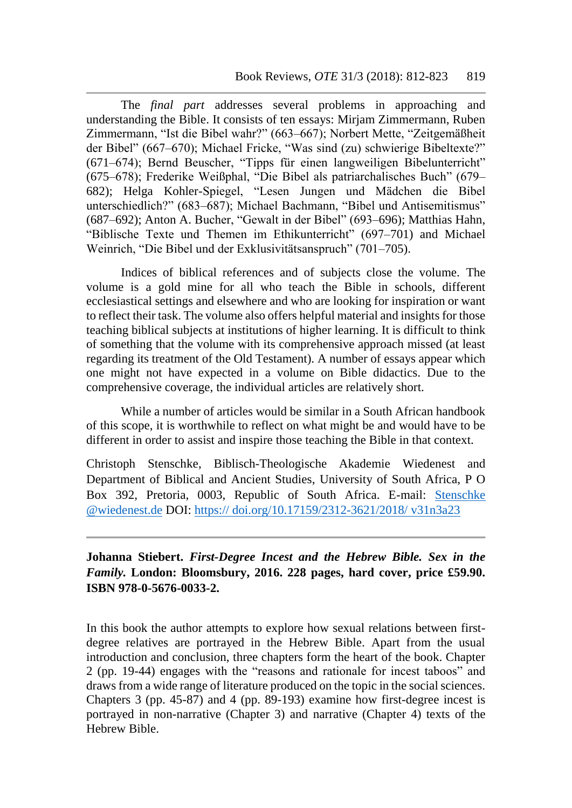The *final part* addresses several problems in approaching and understanding the Bible. It consists of ten essays: Mirjam Zimmermann, Ruben Zimmermann, "Ist die Bibel wahr?" (663–667); Norbert Mette, "Zeitgemäßheit der Bibel" (667–670); Michael Fricke, "Was sind (zu) schwierige Bibeltexte?" (671–674); Bernd Beuscher, "Tipps für einen langweiligen Bibelunterricht" (675–678); Frederike Weißphal, "Die Bibel als patriarchalisches Buch" (679– 682); Helga Kohler-Spiegel, "Lesen Jungen und Mädchen die Bibel unterschiedlich?" (683–687); Michael Bachmann, "Bibel und Antisemitismus" (687–692); Anton A. Bucher, "Gewalt in der Bibel" (693–696); Matthias Hahn, "Biblische Texte und Themen im Ethikunterricht" (697–701) and Michael Weinrich, "Die Bibel und der Exklusivitätsanspruch" (701–705).

Indices of biblical references and of subjects close the volume. The volume is a gold mine for all who teach the Bible in schools, different ecclesiastical settings and elsewhere and who are looking for inspiration or want to reflect their task. The volume also offers helpful material and insights for those teaching biblical subjects at institutions of higher learning. It is difficult to think of something that the volume with its comprehensive approach missed (at least regarding its treatment of the Old Testament). A number of essays appear which one might not have expected in a volume on Bible didactics. Due to the comprehensive coverage, the individual articles are relatively short.

While a number of articles would be similar in a South African handbook of this scope, it is worthwhile to reflect on what might be and would have to be different in order to assist and inspire those teaching the Bible in that context.

Christoph Stenschke, Biblisch-Theologische Akademie Wiedenest and Department of Biblical and Ancient Studies, University of South Africa, P O Box 392, Pretoria, 0003, Republic of South Africa. E-mail: [Stenschke](file:///C:/Users/ramanh/AppData/Local/Microsoft/Windows/Temporary%20Internet%20Files/Content.Outlook/R4I1OX99/Stenschke%20@wiedenest.de)  [@wiedenest.de](file:///C:/Users/ramanh/AppData/Local/Microsoft/Windows/Temporary%20Internet%20Files/Content.Outlook/R4I1OX99/Stenschke%20@wiedenest.de) DOI: https:// doi.org/10.17159/2312-3621/2018/ v31n3a23

**Johanna Stiebert.** *First-Degree Incest and the Hebrew Bible. Sex in the Family.* **London: Bloomsbury, 2016. 228 pages, hard cover, price £59.90. ISBN 978-0-5676-0033-2.**

In this book the author attempts to explore how sexual relations between firstdegree relatives are portrayed in the Hebrew Bible. Apart from the usual introduction and conclusion, three chapters form the heart of the book. Chapter 2 (pp. 19-44) engages with the "reasons and rationale for incest taboos" and draws from a wide range of literature produced on the topic in the social sciences. Chapters 3 (pp. 45-87) and 4 (pp. 89-193) examine how first-degree incest is portrayed in non-narrative (Chapter 3) and narrative (Chapter 4) texts of the Hebrew Bible.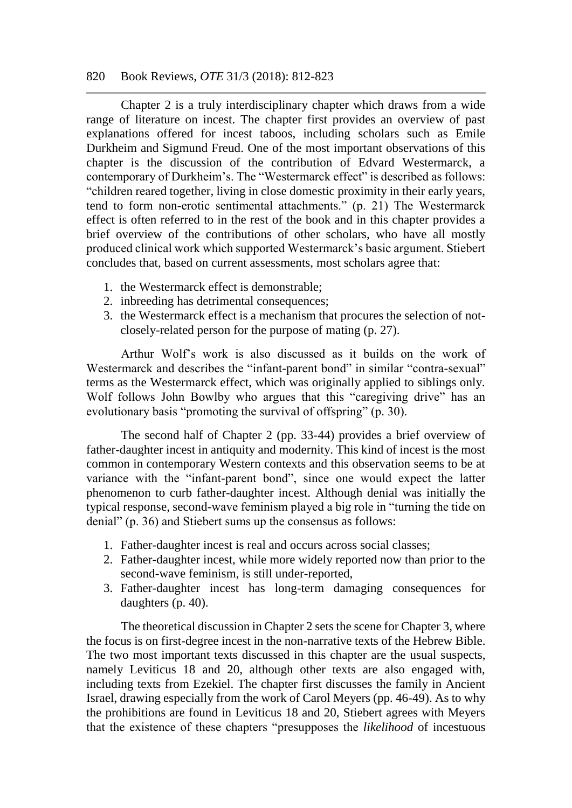#### 820 Book Reviews, *OTE* 31/3 (2018): 812-823

Chapter 2 is a truly interdisciplinary chapter which draws from a wide range of literature on incest. The chapter first provides an overview of past explanations offered for incest taboos, including scholars such as Emile Durkheim and Sigmund Freud. One of the most important observations of this chapter is the discussion of the contribution of Edvard Westermarck, a contemporary of Durkheim's. The "Westermarck effect" is described as follows: "children reared together, living in close domestic proximity in their early years, tend to form non-erotic sentimental attachments." (p. 21) The Westermarck effect is often referred to in the rest of the book and in this chapter provides a brief overview of the contributions of other scholars, who have all mostly produced clinical work which supported Westermarck's basic argument. Stiebert concludes that, based on current assessments, most scholars agree that:

- 1. the Westermarck effect is demonstrable;
- 2. inbreeding has detrimental consequences;
- 3. the Westermarck effect is a mechanism that procures the selection of notclosely-related person for the purpose of mating (p. 27).

Arthur Wolf's work is also discussed as it builds on the work of Westermarck and describes the "infant-parent bond" in similar "contra-sexual" terms as the Westermarck effect, which was originally applied to siblings only. Wolf follows John Bowlby who argues that this "caregiving drive" has an evolutionary basis "promoting the survival of offspring" (p. 30).

The second half of Chapter 2 (pp. 33-44) provides a brief overview of father-daughter incest in antiquity and modernity. This kind of incest is the most common in contemporary Western contexts and this observation seems to be at variance with the "infant-parent bond", since one would expect the latter phenomenon to curb father-daughter incest. Although denial was initially the typical response, second-wave feminism played a big role in "turning the tide on denial" (p. 36) and Stiebert sums up the consensus as follows:

- 1. Father-daughter incest is real and occurs across social classes;
- 2. Father-daughter incest, while more widely reported now than prior to the second-wave feminism, is still under-reported,
- 3. Father-daughter incest has long-term damaging consequences for daughters (p. 40).

The theoretical discussion in Chapter 2 sets the scene for Chapter 3, where the focus is on first-degree incest in the non-narrative texts of the Hebrew Bible. The two most important texts discussed in this chapter are the usual suspects, namely Leviticus 18 and 20, although other texts are also engaged with, including texts from Ezekiel. The chapter first discusses the family in Ancient Israel, drawing especially from the work of Carol Meyers (pp. 46-49). As to why the prohibitions are found in Leviticus 18 and 20, Stiebert agrees with Meyers that the existence of these chapters "presupposes the *likelihood* of incestuous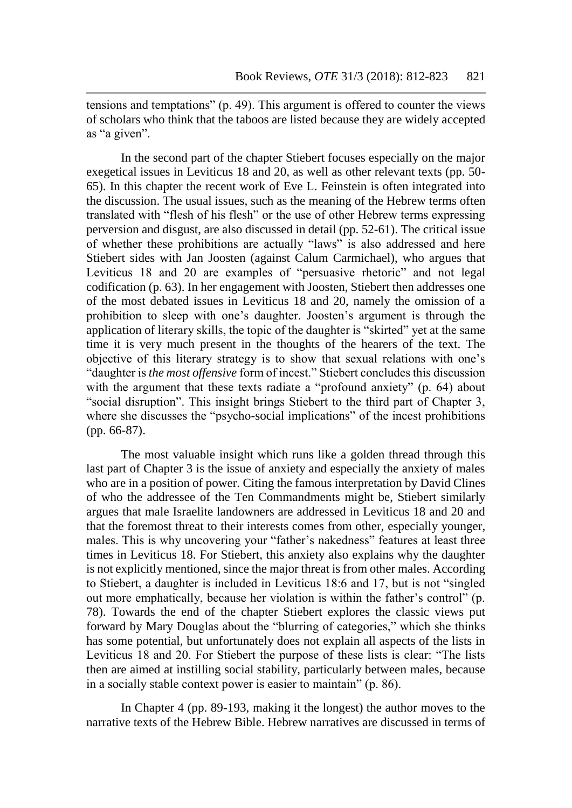tensions and temptations" (p. 49). This argument is offered to counter the views of scholars who think that the taboos are listed because they are widely accepted as "a given".

In the second part of the chapter Stiebert focuses especially on the major exegetical issues in Leviticus 18 and 20, as well as other relevant texts (pp. 50- 65). In this chapter the recent work of Eve L. Feinstein is often integrated into the discussion. The usual issues, such as the meaning of the Hebrew terms often translated with "flesh of his flesh" or the use of other Hebrew terms expressing perversion and disgust, are also discussed in detail (pp. 52-61). The critical issue of whether these prohibitions are actually "laws" is also addressed and here Stiebert sides with Jan Joosten (against Calum Carmichael), who argues that Leviticus 18 and 20 are examples of "persuasive rhetoric" and not legal codification (p. 63). In her engagement with Joosten, Stiebert then addresses one of the most debated issues in Leviticus 18 and 20, namely the omission of a prohibition to sleep with one's daughter. Joosten's argument is through the application of literary skills, the topic of the daughter is "skirted" yet at the same time it is very much present in the thoughts of the hearers of the text. The objective of this literary strategy is to show that sexual relations with one's "daughter is *the most offensive* form of incest." Stiebert concludes this discussion with the argument that these texts radiate a "profound anxiety" (p. 64) about "social disruption". This insight brings Stiebert to the third part of Chapter 3, where she discusses the "psycho-social implications" of the incest prohibitions (pp. 66-87).

The most valuable insight which runs like a golden thread through this last part of Chapter 3 is the issue of anxiety and especially the anxiety of males who are in a position of power. Citing the famous interpretation by David Clines of who the addressee of the Ten Commandments might be, Stiebert similarly argues that male Israelite landowners are addressed in Leviticus 18 and 20 and that the foremost threat to their interests comes from other, especially younger, males. This is why uncovering your "father's nakedness" features at least three times in Leviticus 18. For Stiebert, this anxiety also explains why the daughter is not explicitly mentioned, since the major threat is from other males. According to Stiebert, a daughter is included in Leviticus 18:6 and 17, but is not "singled out more emphatically, because her violation is within the father's control" (p. 78). Towards the end of the chapter Stiebert explores the classic views put forward by Mary Douglas about the "blurring of categories," which she thinks has some potential, but unfortunately does not explain all aspects of the lists in Leviticus 18 and 20. For Stiebert the purpose of these lists is clear: "The lists then are aimed at instilling social stability, particularly between males, because in a socially stable context power is easier to maintain" (p. 86).

In Chapter 4 (pp. 89-193, making it the longest) the author moves to the narrative texts of the Hebrew Bible. Hebrew narratives are discussed in terms of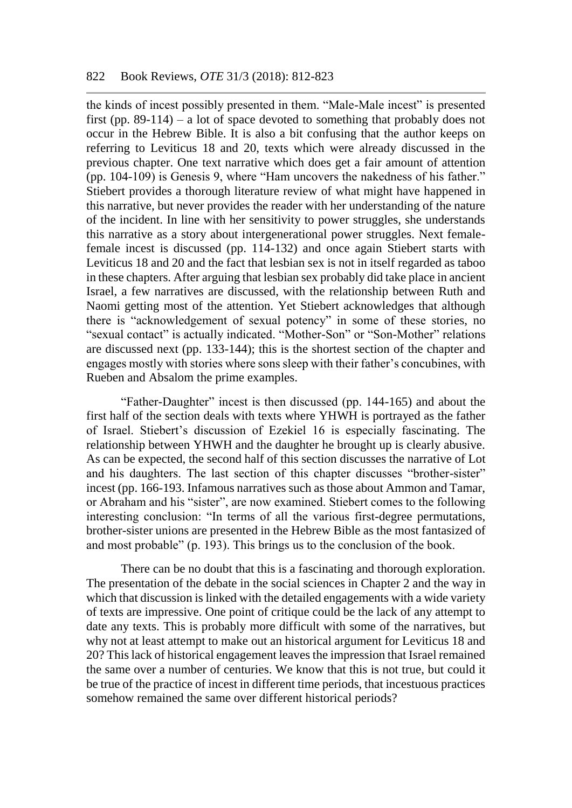the kinds of incest possibly presented in them. "Male-Male incest" is presented first (pp. 89-114) – a lot of space devoted to something that probably does not occur in the Hebrew Bible. It is also a bit confusing that the author keeps on referring to Leviticus 18 and 20, texts which were already discussed in the previous chapter. One text narrative which does get a fair amount of attention (pp. 104-109) is Genesis 9, where "Ham uncovers the nakedness of his father." Stiebert provides a thorough literature review of what might have happened in this narrative, but never provides the reader with her understanding of the nature of the incident. In line with her sensitivity to power struggles, she understands this narrative as a story about intergenerational power struggles. Next femalefemale incest is discussed (pp. 114-132) and once again Stiebert starts with Leviticus 18 and 20 and the fact that lesbian sex is not in itself regarded as taboo in these chapters. After arguing that lesbian sex probably did take place in ancient Israel, a few narratives are discussed, with the relationship between Ruth and Naomi getting most of the attention. Yet Stiebert acknowledges that although there is "acknowledgement of sexual potency" in some of these stories, no "sexual contact" is actually indicated. "Mother-Son" or "Son-Mother" relations are discussed next (pp. 133-144); this is the shortest section of the chapter and engages mostly with stories where sons sleep with their father's concubines, with Rueben and Absalom the prime examples.

"Father-Daughter" incest is then discussed (pp. 144-165) and about the first half of the section deals with texts where YHWH is portrayed as the father of Israel. Stiebert's discussion of Ezekiel 16 is especially fascinating. The relationship between YHWH and the daughter he brought up is clearly abusive. As can be expected, the second half of this section discusses the narrative of Lot and his daughters. The last section of this chapter discusses "brother-sister" incest (pp. 166-193. Infamous narratives such as those about Ammon and Tamar, or Abraham and his "sister", are now examined. Stiebert comes to the following interesting conclusion: "In terms of all the various first-degree permutations, brother-sister unions are presented in the Hebrew Bible as the most fantasized of and most probable" (p. 193). This brings us to the conclusion of the book.

There can be no doubt that this is a fascinating and thorough exploration. The presentation of the debate in the social sciences in Chapter 2 and the way in which that discussion is linked with the detailed engagements with a wide variety of texts are impressive. One point of critique could be the lack of any attempt to date any texts. This is probably more difficult with some of the narratives, but why not at least attempt to make out an historical argument for Leviticus 18 and 20? This lack of historical engagement leaves the impression that Israel remained the same over a number of centuries. We know that this is not true, but could it be true of the practice of incest in different time periods, that incestuous practices somehow remained the same over different historical periods?